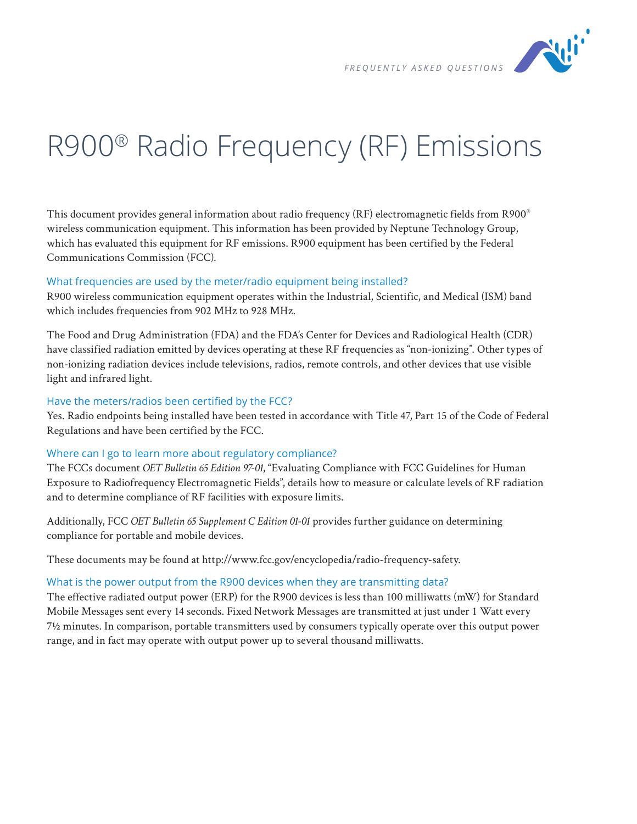

# R900® Radio Frequency (RF) Emissions

This document provides general information about radio frequency (RF) electromagnetic fields from R900® wireless communication equipment. This information has been provided by Neptune Technology Group, which has evaluated this equipment for RF emissions. R900 equipment has been certified by the Federal Communications Commission (FCC).

#### What frequencies are used by the meter/radio equipment being installed?

R900 wireless communication equipment operates within the Industrial, Scientific, and Medical (ISM) band which includes frequencies from 902 MHz to 928 MHz.

The Food and Drug Administration (FDA) and the FDA's Center for Devices and Radiological Health (CDR) have classified radiation emitted by devices operating at these RF frequencies as "non-ionizing". Other types of non-ionizing radiation devices include televisions, radios, remote controls, and other devices that use visible light and infrared light.

## Have the meters/radios been certified by the FCC?

Yes. Radio endpoints being installed have been tested in accordance with Title 47, Part 15 of the Code of Federal Regulations and have been certified by the FCC.

#### Where can I go to learn more about regulatory compliance?

The FCCs document *OET Bulletin 65 Edition 97-01*, "Evaluating Compliance with FCC Guidelines for Human Exposure to Radiofrequency Electromagnetic Fields", details how to measure or calculate levels of RF radiation and to determine compliance of RF facilities with exposure limits.

Additionally, FCC *OET Bulletin 65 Supplement C Edition 01-01* provides further guidance on determining compliance for portable and mobile devices.

These documents may be found at http://www.fcc.gov/encyclopedia/radio-frequency-safety.

## What is the power output from the R900 devices when they are transmitting data?

The effective radiated output power (ERP) for the R900 devices is less than 100 milliwatts (mW) for Standard Mobile Messages sent every 14 seconds. Fixed Network Messages are transmitted at just under 1 Watt every 7½ minutes. In comparison, portable transmitters used by consumers typically operate over this output power range, and in fact may operate with output power up to several thousand milliwatts.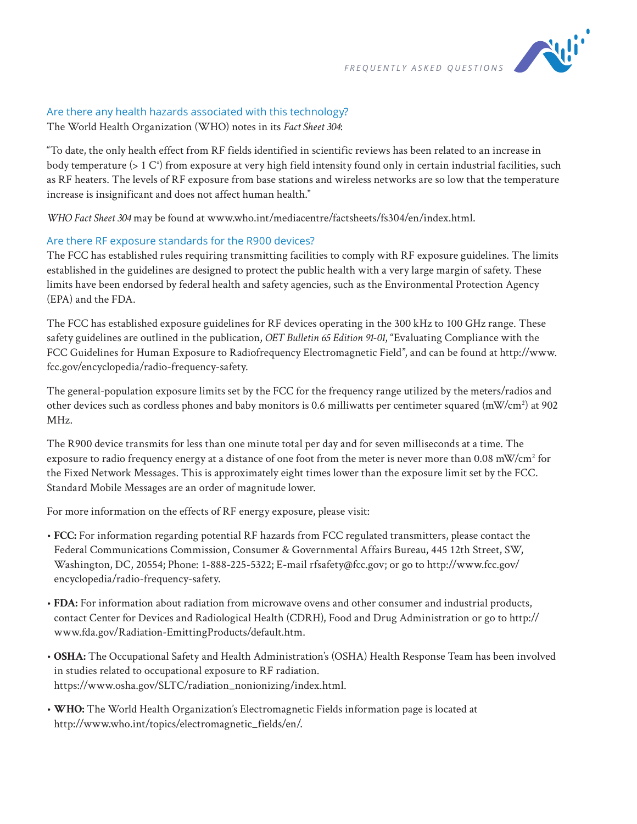

# Are there any health hazards associated with this technology?

The World Health Organization (WHO) notes in its *Fact Sheet 304*:

"To date, the only health effect from RF fields identified in scientific reviews has been related to an increase in body temperature (> 1 C°) from exposure at very high field intensity found only in certain industrial facilities, such as RF heaters. The levels of RF exposure from base stations and wireless networks are so low that the temperature increase is insignificant and does not affect human health."

*WHO Fact Sheet 304* may be found at www.who.int/mediacentre/factsheets/fs304/en/index.html.

## Are there RF exposure standards for the R900 devices?

The FCC has established rules requiring transmitting facilities to comply with RF exposure guidelines. The limits established in the guidelines are designed to protect the public health with a very large margin of safety. These limits have been endorsed by federal health and safety agencies, such as the Environmental Protection Agency (EPA) and the FDA.

The FCC has established exposure guidelines for RF devices operating in the 300 kHz to 100 GHz range. These safety guidelines are outlined in the publication, *OET Bulletin 65 Edition 91-01*, "Evaluating Compliance with the FCC Guidelines for Human Exposure to Radiofrequency Electromagnetic Field", and can be found at http://www. fcc.gov/encyclopedia/radio-frequency-safety.

The general-population exposure limits set by the FCC for the frequency range utilized by the meters/radios and other devices such as cordless phones and baby monitors is 0.6 milliwatts per centimeter squared (mW/cm<sup>2</sup>) at 902 MHz.

The R900 device transmits for less than one minute total per day and for seven milliseconds at a time. The exposure to radio frequency energy at a distance of one foot from the meter is never more than 0.08 mW/cm $^2$  for the Fixed Network Messages. This is approximately eight times lower than the exposure limit set by the FCC. Standard Mobile Messages are an order of magnitude lower.

For more information on the effects of RF energy exposure, please visit:

- **FCC:** For information regarding potential RF hazards from FCC regulated transmitters, please contact the Federal Communications Commission, Consumer & Governmental Affairs Bureau, 445 12th Street, SW, Washington, DC, 20554; Phone: 1-888-225-5322; E-mail rfsafety@fcc.gov; or go to http://www.fcc.gov/ encyclopedia/radio-frequency-safety.
- • **FDA:** For information about radiation from microwave ovens and other consumer and industrial products, contact Center for Devices and Radiological Health (CDRH), Food and Drug Administration or go to http:// www.fda.gov/Radiation-EmittingProducts/default.htm.
- **OSHA:** The Occupational Safety and Health Administration's (OSHA) Health Response Team has been involved in studies related to occupational exposure to RF radiation. https://www.osha.gov/SLTC/radiation\_nonionizing/index.html.
- **WHO:** The World Health Organization's Electromagnetic Fields information page is located at http://www.who.int/topics/electromagnetic\_fields/en/.